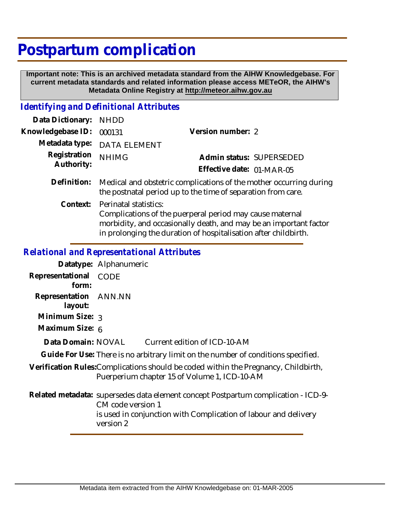## **Postpartum complication**

 **Important note: This is an archived metadata standard from the AIHW Knowledgebase. For current metadata standards and related information please access METeOR, the AIHW's Metadata Online Registry at http://meteor.aihw.gov.au**

## *Identifying and Definitional Attributes*

| Data Dictionary:           | <b>NHDD</b>                                                                                                                                                                                                               |                           |  |
|----------------------------|---------------------------------------------------------------------------------------------------------------------------------------------------------------------------------------------------------------------------|---------------------------|--|
| Knowledgebase ID:          | 000131                                                                                                                                                                                                                    | Version number: 2         |  |
| Metadata type:             | <b>DATA ELEMENT</b>                                                                                                                                                                                                       |                           |  |
| Registration<br>Authority: | <b>NHIMG</b>                                                                                                                                                                                                              | Admin status: SUPERSEDED  |  |
|                            |                                                                                                                                                                                                                           | Effective date: 01-MAR-05 |  |
| Definition:                | Medical and obstetric complications of the mother occurring during<br>the postnatal period up to the time of separation from care.                                                                                        |                           |  |
| Context:                   | Perinatal statistics:<br>Complications of the puerperal period may cause maternal<br>morbidity, and occasionally death, and may be an important factor<br>in prolonging the duration of hospitalisation after childbirth. |                           |  |

## *Relational and Representational Attributes*

|                                  | Datatype: Alphanumeric                                                                                                                                                                  |
|----------------------------------|-----------------------------------------------------------------------------------------------------------------------------------------------------------------------------------------|
| Representational<br>form:        | <b>CODE</b>                                                                                                                                                                             |
| Representation ANN.NN<br>layout: |                                                                                                                                                                                         |
| Minimum Size: $\frac{1}{3}$      |                                                                                                                                                                                         |
| Maximum Size: 6                  |                                                                                                                                                                                         |
| Data Domain: NOVAL               | Current edition of ICD-10-AM                                                                                                                                                            |
|                                  | Guide For Use: There is no arbitrary limit on the number of conditions specified.                                                                                                       |
|                                  | Verification Rules: Complications should be coded within the Pregnancy, Childbirth,<br>Puerperium chapter 15 of Volume 1, ICD-10-AM                                                     |
|                                  | Related metadata: supersedes data element concept Postpartum complication - ICD-9-<br>CM code version 1<br>is used in conjunction with Complication of labour and delivery<br>version 2 |